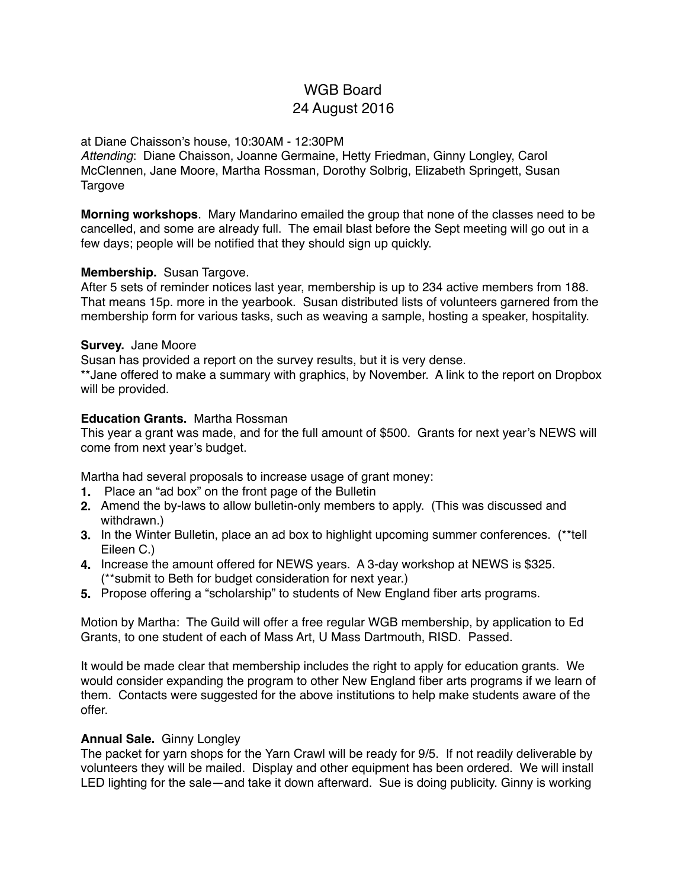# WGB Board 24 August 2016

#### at Diane Chaisson's house, 10:30AM - 12:30PM

*Attending*: Diane Chaisson, Joanne Germaine, Hetty Friedman, Ginny Longley, Carol McClennen, Jane Moore, Martha Rossman, Dorothy Solbrig, Elizabeth Springett, Susan **Targove** 

**Morning workshops**. Mary Mandarino emailed the group that none of the classes need to be cancelled, and some are already full. The email blast before the Sept meeting will go out in a few days; people will be notified that they should sign up quickly.

# **Membership.** Susan Targove.

After 5 sets of reminder notices last year, membership is up to 234 active members from 188. That means 15p. more in the yearbook. Susan distributed lists of volunteers garnered from the membership form for various tasks, such as weaving a sample, hosting a speaker, hospitality.

# **Survey.** Jane Moore

Susan has provided a report on the survey results, but it is very dense.

\*\*Jane offered to make a summary with graphics, by November. A link to the report on Dropbox will be provided.

# **Education Grants.** Martha Rossman

This year a grant was made, and for the full amount of \$500. Grants for next year's NEWS will come from next year's budget.

Martha had several proposals to increase usage of grant money:

- **1.** Place an "ad box" on the front page of the Bulletin
- **2.** Amend the by-laws to allow bulletin-only members to apply. (This was discussed and withdrawn.)
- **3.** In the Winter Bulletin, place an ad box to highlight upcoming summer conferences. (\*\*tell Eileen C.)
- **4.** Increase the amount offered for NEWS years. A 3-day workshop at NEWS is \$325. (\*\*submit to Beth for budget consideration for next year.)
- **5.** Propose offering a "scholarship" to students of New England fiber arts programs.

Motion by Martha: The Guild will offer a free regular WGB membership, by application to Ed Grants, to one student of each of Mass Art, U Mass Dartmouth, RISD. Passed.

It would be made clear that membership includes the right to apply for education grants. We would consider expanding the program to other New England fiber arts programs if we learn of them. Contacts were suggested for the above institutions to help make students aware of the offer.

#### **Annual Sale.** Ginny Longley

The packet for yarn shops for the Yarn Crawl will be ready for 9/5. If not readily deliverable by volunteers they will be mailed. Display and other equipment has been ordered. We will install LED lighting for the sale—and take it down afterward. Sue is doing publicity. Ginny is working